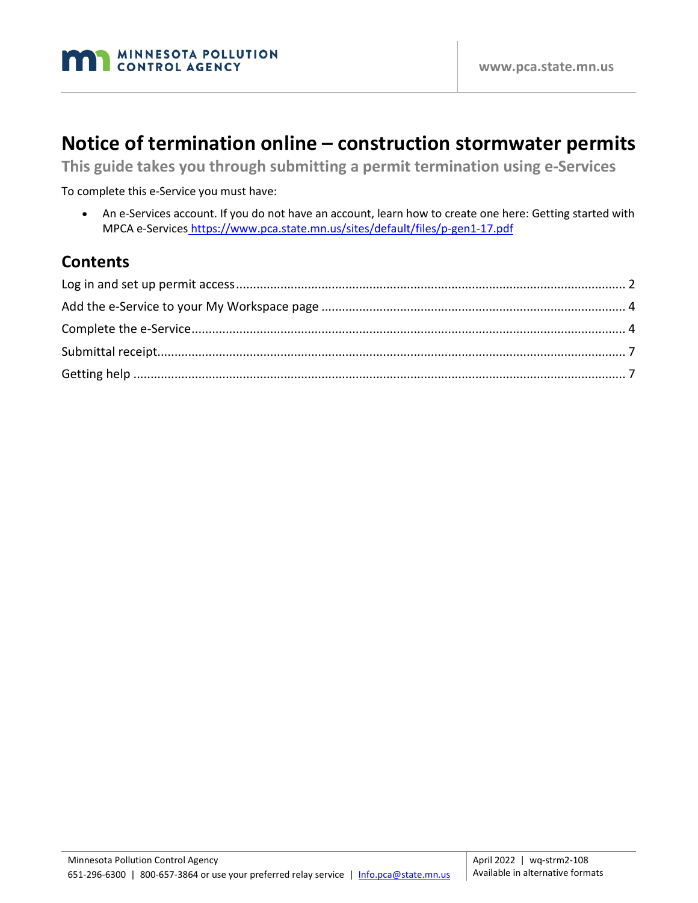# **Notice of termination online – construction stormwater permits**

**This guide takes you through submitting a permit termination using e-Services**

To complete this e-Service you must have:

• An e-Services account. If you do not have an account, learn how to create one here: Getting started with MPCA e-Services <https://www.pca.state.mn.us/sites/default/files/p-gen1-17.pdf>

#### **Contents**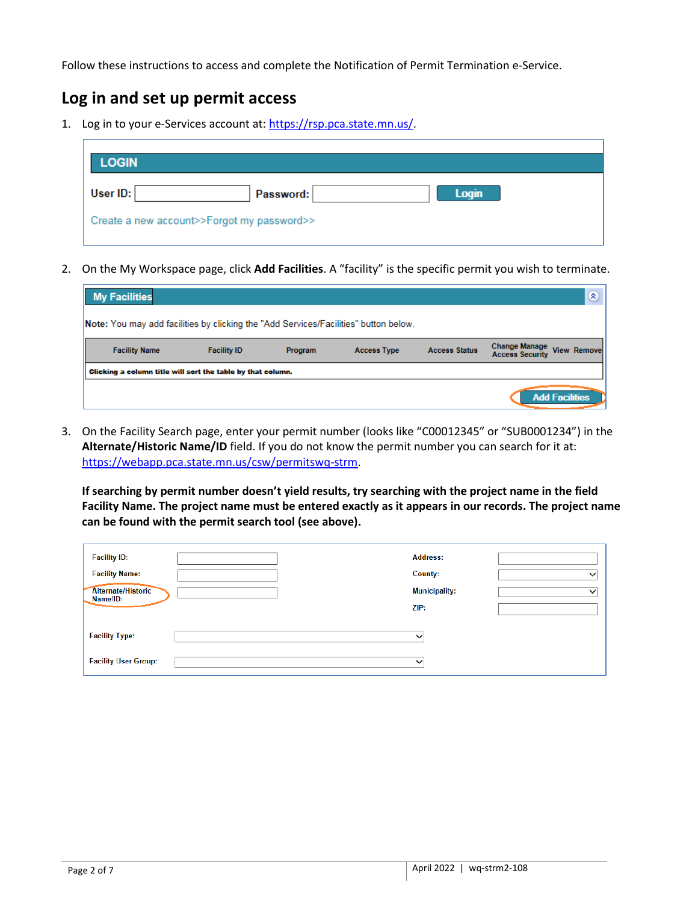Follow these instructions to access and complete the Notification of Permit Termination e-Service.

## <span id="page-1-0"></span>**Log in and set up permit access**

1. Log in to your e-Services account at: [https://rsp.pca.state.mn.us/.](https://rsp.pca.state.mn.us/)

2. On the My Workspace page, click **Add Facilities**. A "facility" is the specific permit you wish to terminate.

| <b>My Facilities</b>                                                                 |                    |         |                    |                      |                                                | 《文                    |
|--------------------------------------------------------------------------------------|--------------------|---------|--------------------|----------------------|------------------------------------------------|-----------------------|
| Note: You may add facilities by clicking the "Add Services/Facilities" button below. |                    |         |                    |                      |                                                |                       |
| <b>Facility Name</b>                                                                 | <b>Facility ID</b> | Program | <b>Access Type</b> | <b>Access Status</b> | <b>Change Manage</b><br><b>Access Security</b> | <b>View Remove</b>    |
| Clicking a column title will sort the table by that column.                          |                    |         |                    |                      |                                                |                       |
|                                                                                      |                    |         |                    |                      |                                                | <b>Add Facilities</b> |

3. On the Facility Search page, enter your permit number (looks like "C00012345" or "SUB0001234") in the **Alternate/Historic Name/ID** field. If you do not know the permit number you can search for it at: [https://webapp.pca.state.mn.us/csw/permitsw](https://webapp.pca.state.mn.us/csw/permits)q-strm.

**If searching by permit number doesn't yield results, try searching with the project name in the field Facility Name. The project name must be entered exactly as it appears in our records. The project name can be found with the permit search tool (see above).**

| <b>Facility ID:</b>            | <b>Address:</b>      |              |
|--------------------------------|----------------------|--------------|
| <b>Facility Name:</b>          | County:              | $\checkmark$ |
| Alternate/Historic<br>Name/ID: | <b>Municipality:</b> | $\checkmark$ |
|                                | ZIP:                 |              |
| <b>Facility Type:</b>          | ັ                    |              |
| <b>Facility User Group:</b>    | v                    |              |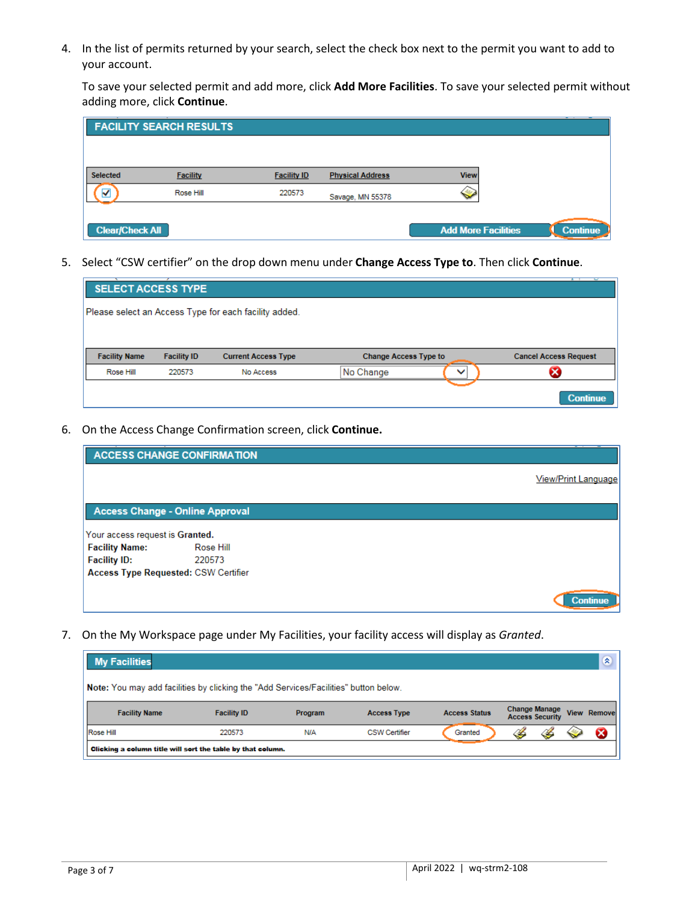4. In the list of permits returned by your search, select the check box next to the permit you want to add to your account.

To save your selected permit and add more, click **Add More Facilities**. To save your selected permit without adding more, click **Continue**.

|                        | <b>FACILITY SEARCH RESULTS</b> |                    |                         |                            |                 |
|------------------------|--------------------------------|--------------------|-------------------------|----------------------------|-----------------|
|                        |                                |                    |                         |                            |                 |
| <b>Selected</b>        | <b>Facility</b>                | <b>Facility ID</b> | <b>Physical Address</b> | <b>View</b>                |                 |
| ✓                      | Rose Hill                      | 220573             | Savage, MN 55378        |                            |                 |
| <b>Clear/Check All</b> |                                |                    |                         | <b>Add More Facilities</b> | <b>Continue</b> |

5. Select "CSW certifier" on the drop down menu under **Change Access Type to**. Then click **Continue**.

| SELECT ACCESS TYPE   |                    |                                                       |                              |              | c                            |
|----------------------|--------------------|-------------------------------------------------------|------------------------------|--------------|------------------------------|
|                      |                    | Please select an Access Type for each facility added. |                              |              |                              |
|                      |                    |                                                       |                              |              |                              |
| <b>Facility Name</b> | <b>Facility ID</b> | <b>Current Access Type</b>                            | <b>Change Access Type to</b> |              | <b>Cancel Access Request</b> |
| Rose Hill            | 220573             | No Access                                             | No Change                    | $\checkmark$ |                              |
|                      |                    |                                                       |                              |              | <b>Continue</b>              |

6. On the Access Change Confirmation screen, click **Continue.**

|                                             | <b>ACCESS CHANGE CONFIRMATION</b> |                     |
|---------------------------------------------|-----------------------------------|---------------------|
|                                             |                                   | View/Print Language |
| <b>Access Change - Online Approval</b>      |                                   |                     |
| Your access request is Granted.             |                                   |                     |
| <b>Facility Name:</b>                       | Rose Hill                         |                     |
| <b>Facility ID:</b>                         | 220573                            |                     |
| <b>Access Type Requested: CSW Certifier</b> |                                   |                     |
|                                             |                                   | <b>Continue</b>     |

7. On the My Workspace page under My Facilities, your facility access will display as *Granted*.

<span id="page-2-0"></span>

| <b>My Facilities</b>                                                                 |                    |                |                      |                      |                                                | $\mathbf{\hat{z}}$ |
|--------------------------------------------------------------------------------------|--------------------|----------------|----------------------|----------------------|------------------------------------------------|--------------------|
| Note: You may add facilities by clicking the "Add Services/Facilities" button below. |                    |                |                      |                      |                                                |                    |
| <b>Facility Name</b>                                                                 | <b>Facility ID</b> | <b>Program</b> | <b>Access Type</b>   | <b>Access Status</b> | <b>Change Manage</b><br><b>Access Security</b> | <b>View Remove</b> |
| Rose Hill                                                                            | 220573             | <b>N/A</b>     | <b>CSW Certifier</b> | Granted              |                                                | Ø                  |
| Clicking a column title will sort the table by that column.                          |                    |                |                      |                      |                                                |                    |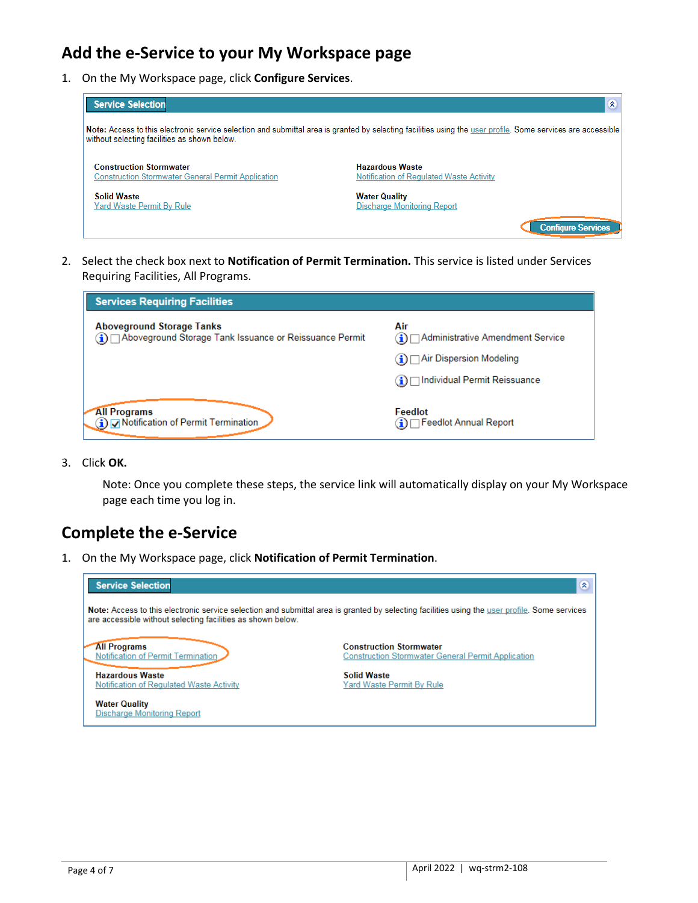## **Add the e-Service to your My Workspace page**

1. On the My Workspace page, click **Configure Services**.

| Service Selection                                                                           | $\infty$                                                                                                                                                     |
|---------------------------------------------------------------------------------------------|--------------------------------------------------------------------------------------------------------------------------------------------------------------|
| without selecting facilities as shown below.                                                | Note: Access to this electronic service selection and submittal area is granted by selecting facilities using the user profile. Some services are accessible |
| <b>Construction Stormwater</b><br><b>Construction Stormwater General Permit Application</b> | <b>Hazardous Waste</b><br>Notification of Regulated Waste Activity                                                                                           |
| <b>Solid Waste</b><br>Yard Waste Permit By Rule                                             | <b>Water Quality</b><br>Discharge Monitoring Report                                                                                                          |
|                                                                                             | <b>Configure Services</b>                                                                                                                                    |

2. Select the check box next to **Notification of Permit Termination.** This service is listed under Services Requiring Facilities, All Programs.

| <b>Services Requiring Facilities</b>                                                            |                                              |
|-------------------------------------------------------------------------------------------------|----------------------------------------------|
| <b>Aboveground Storage Tanks</b><br>1) O Aboveground Storage Tank Issuance or Reissuance Permit | Air<br>(1) OAdministrative Amendment Service |
|                                                                                                 | $\bigcap$ Air Dispersion Modeling            |
|                                                                                                 | ⊟ Individual Permit Reissuance               |
| <b>All Programs</b><br>i) Motification of Permit Termination                                    | Feedlot<br>□ Feedlot Annual Report           |

3. Click **OK.**

Note: Once you complete these steps, the service link will automatically display on your My Workspace page each time you log in.

#### <span id="page-3-0"></span>**Complete the e-Service**

1. On the My Workspace page, click **Notification of Permit Termination**.

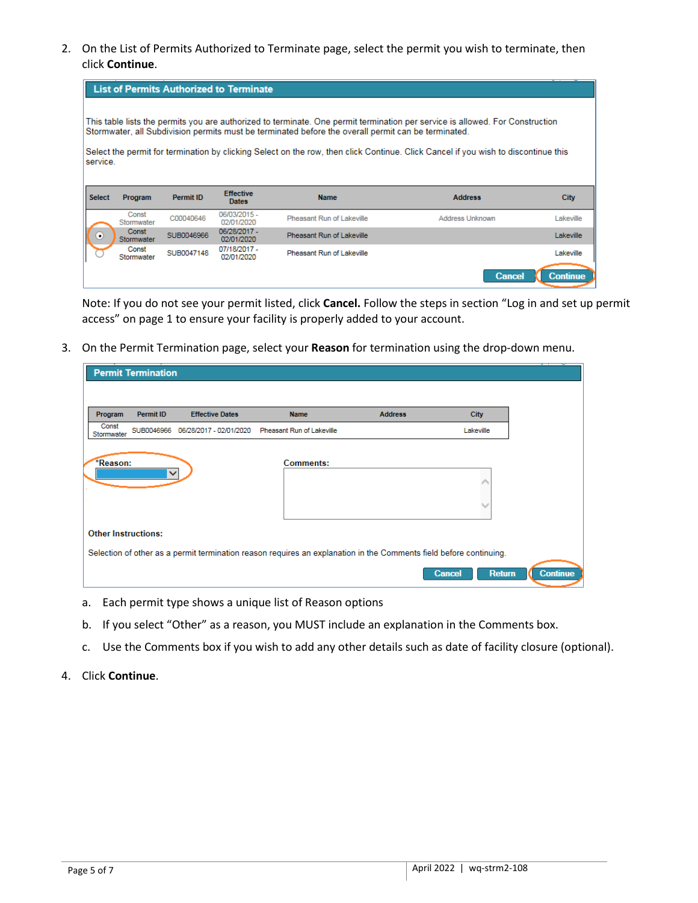2. On the List of Permits Authorized to Terminate page, select the permit you wish to terminate, then click **Continue**.

|               |                     | <b>List of Permits Authorized to Terminate</b> |                                  |                                                                                                                                                                                                                                      |                        |                 |
|---------------|---------------------|------------------------------------------------|----------------------------------|--------------------------------------------------------------------------------------------------------------------------------------------------------------------------------------------------------------------------------------|------------------------|-----------------|
|               |                     |                                                |                                  |                                                                                                                                                                                                                                      |                        |                 |
|               |                     |                                                |                                  | This table lists the permits you are authorized to terminate. One permit termination per service is allowed. For Construction<br>Stormwater, all Subdivision permits must be terminated before the overall permit can be terminated. |                        |                 |
|               |                     |                                                |                                  |                                                                                                                                                                                                                                      |                        |                 |
| service.      |                     |                                                |                                  | Select the permit for termination by clicking Select on the row, then click Continue. Click Cancel if you wish to discontinue this                                                                                                   |                        |                 |
|               |                     |                                                |                                  |                                                                                                                                                                                                                                      |                        |                 |
| <b>Select</b> | Program             | <b>Permit ID</b>                               | <b>Effective</b><br><b>Dates</b> | <b>Name</b>                                                                                                                                                                                                                          | <b>Address</b>         | <b>City</b>     |
|               | Const<br>Stormwater | C00040646                                      | 06/03/2015 -<br>02/01/2020       | Pheasant Run of Lakeville                                                                                                                                                                                                            | <b>Address Unknown</b> | Lakeville       |
| ۰             | Const<br>Stormwater | SUB0046966                                     | 06/28/2017 -<br>02/01/2020       | Pheasant Run of Lakeville                                                                                                                                                                                                            |                        | Lakeville       |
|               | Const<br>Stormwater | SUB0047148                                     | 07/18/2017 -<br>02/01/2020       | Pheasant Run of Lakeville                                                                                                                                                                                                            |                        | Lakeville       |
|               |                     |                                                |                                  |                                                                                                                                                                                                                                      | <b>Cancel</b>          | <b>Continue</b> |

Note: If you do not see your permit listed, click **Cancel.** Follow the steps in section "Log in and set up permit access" on page 1 to ensure your facility is properly added to your account.

3. On the Permit Termination page, select your **Reason** for termination using the drop-down menu.

|                     | <b>Permit Termination</b>  |                         |                                                                                                                    |                |                                |
|---------------------|----------------------------|-------------------------|--------------------------------------------------------------------------------------------------------------------|----------------|--------------------------------|
|                     |                            |                         |                                                                                                                    |                |                                |
| Program             | <b>Permit ID</b>           | <b>Effective Dates</b>  | <b>Name</b>                                                                                                        | <b>Address</b> | <b>City</b>                    |
| Const<br>Stormwater | SUB0046966                 | 06/28/2017 - 02/01/2020 | Pheasant Run of Lakeville                                                                                          |                | Lakeville                      |
|                     |                            |                         |                                                                                                                    |                |                                |
| *Reason:            |                            |                         | <b>Comments:</b>                                                                                                   |                |                                |
|                     | ▽                          |                         |                                                                                                                    |                | △                              |
|                     |                            |                         |                                                                                                                    |                |                                |
|                     |                            |                         |                                                                                                                    |                |                                |
|                     | <b>Other Instructions:</b> |                         |                                                                                                                    |                |                                |
|                     |                            |                         | Selection of other as a permit termination reason requires an explanation in the Comments field before continuing. |                |                                |
|                     |                            |                         |                                                                                                                    |                | <b>Return</b><br><b>Cancel</b> |

- a. Each permit type shows a unique list of Reason options
- b. If you select "Other" as a reason, you MUST include an explanation in the Comments box.
- c. Use the Comments box if you wish to add any other details such as date of facility closure (optional).
- 4. Click **Continue**.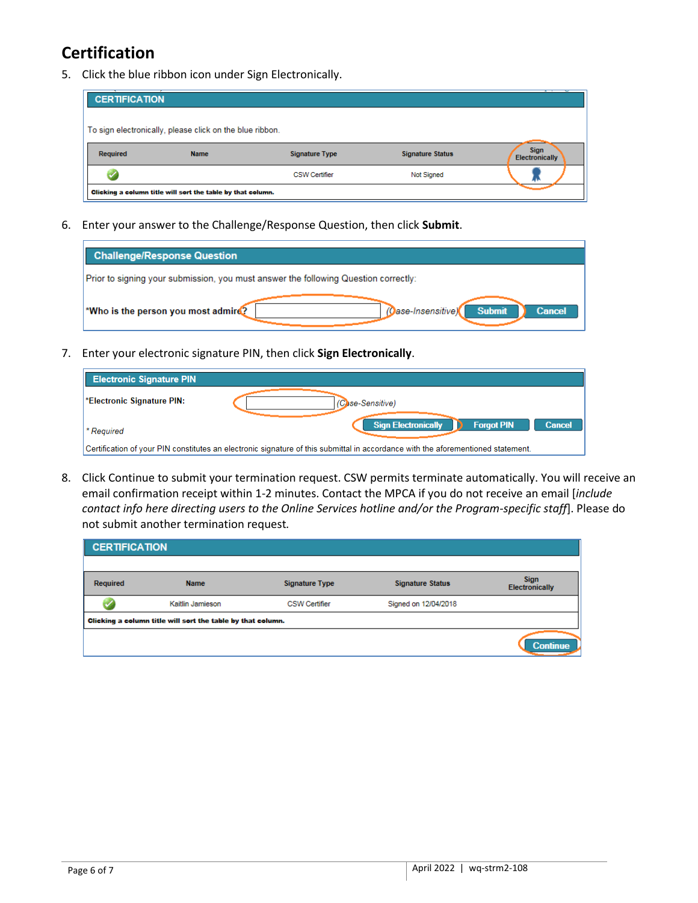# **Certification**

5. Click the blue ribbon icon under Sign Electronically.

| <b>CERTIFICATION</b>                                        |                                                          |                       |                         |                                      |  |  |  |
|-------------------------------------------------------------|----------------------------------------------------------|-----------------------|-------------------------|--------------------------------------|--|--|--|
|                                                             | To sign electronically, please click on the blue ribbon. |                       |                         |                                      |  |  |  |
| Required                                                    | <b>Name</b>                                              | <b>Signature Type</b> | <b>Signature Status</b> | <b>Sign</b><br><b>Electronically</b> |  |  |  |
|                                                             |                                                          | <b>CSW Certifier</b>  | Not Signed              |                                      |  |  |  |
| Clicking a column title will sort the table by that column. |                                                          |                       |                         |                                      |  |  |  |

6. Enter your answer to the Challenge/Response Question, then click **Submit**.

| <b>Challenge/Response Question</b>                                                          |  |  |  |  |  |
|---------------------------------------------------------------------------------------------|--|--|--|--|--|
| Prior to signing your submission, you must answer the following Question correctly:         |  |  |  |  |  |
| (Oase-Insensitive)<br>*Who is the person you most admire?<br><b>Submit</b><br><b>Cancel</b> |  |  |  |  |  |

7. Enter your electronic signature PIN, then click **Sign Electronically**.

| <b>Electronic Signature PIN</b>                                                                                                  |                                                                  |  |  |  |  |  |
|----------------------------------------------------------------------------------------------------------------------------------|------------------------------------------------------------------|--|--|--|--|--|
| *Electronic Signature PIN:                                                                                                       | (Case-Sensitive)                                                 |  |  |  |  |  |
| <sup>*</sup> Required                                                                                                            | <b>Sign Electronically</b><br><b>Cancel</b><br><b>Forgot PIN</b> |  |  |  |  |  |
| Certification of your PIN constitutes an electronic signature of this submittal in accordance with the aforementioned statement. |                                                                  |  |  |  |  |  |

8. Click Continue to submit your termination request. CSW permits terminate automatically. You will receive an email confirmation receipt within 1-2 minutes. Contact the MPCA if you do not receive an email [*include contact info here directing users to the Online Services hotline and/or the Program-specific staff*]. Please do not submit another termination request*.* 

<span id="page-5-0"></span>

| <b>CERTIFICATION</b>                                        |                  |                       |                                                  |                 |  |  |  |
|-------------------------------------------------------------|------------------|-----------------------|--------------------------------------------------|-----------------|--|--|--|
| Required                                                    | <b>Name</b>      | <b>Signature Type</b> | <b>Signature Status</b><br><b>Electronically</b> |                 |  |  |  |
|                                                             | Kaitlin Jamieson | <b>CSW Certifier</b>  | Signed on 12/04/2018                             |                 |  |  |  |
| Clicking a column title will sort the table by that column. |                  |                       |                                                  |                 |  |  |  |
|                                                             |                  |                       |                                                  | <b>Continue</b> |  |  |  |